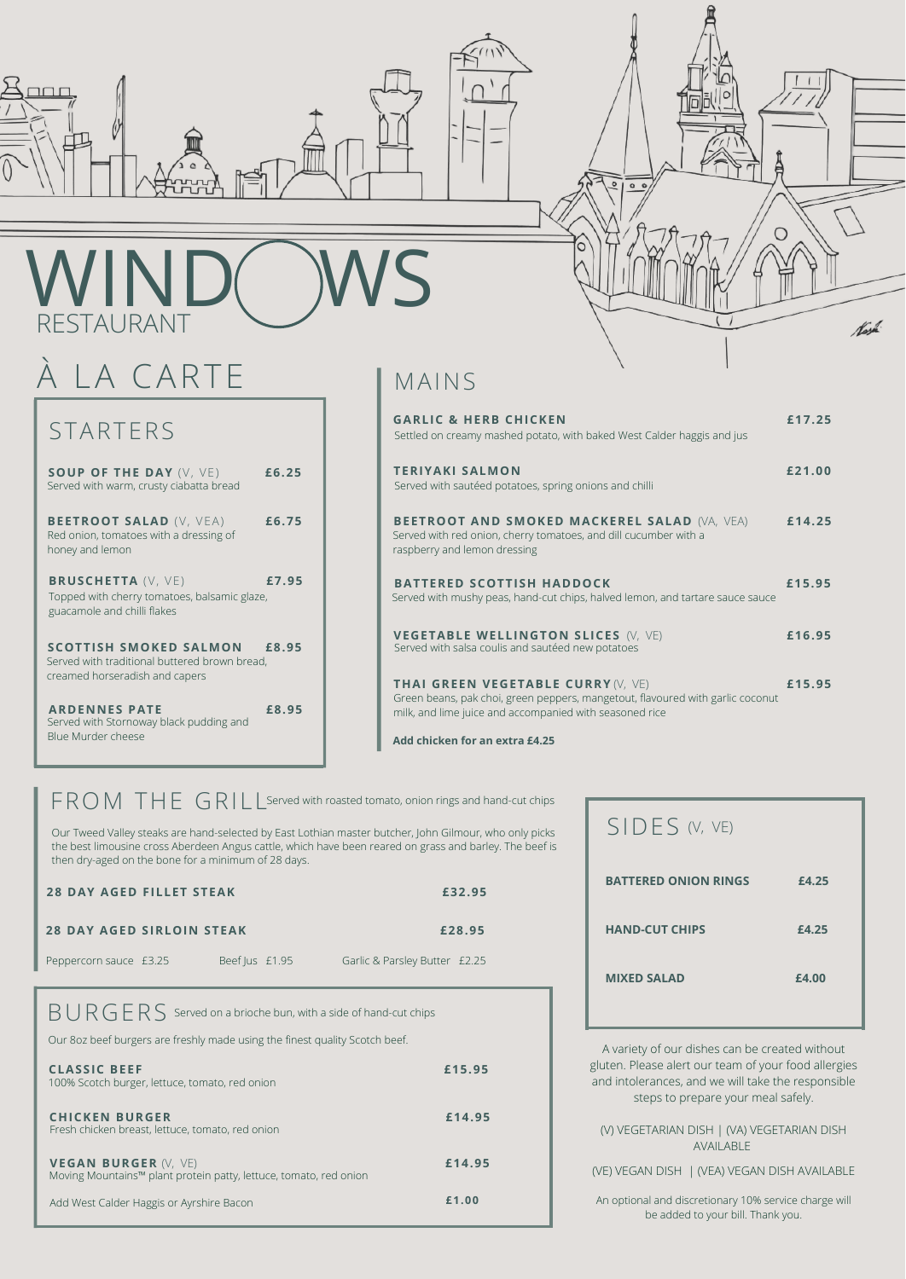

# WIND(WS RESTAURANT

### STARTERS

### MAINS

#### (V) VEGETARIAN DISH | (VA) VEGETARIAN DISH AVAILABLE

#### (VE) VEGAN DISH | (VEA) VEGAN DISH AVAILABLE

An optional and discretionary 10% service charge will be added to your bill. Thank you.

## À LA CARTE

**SOUP OF THE DAY** (V, VE) **£6.25** Served with warm, crusty ciabatta bread

**BEETROOT SALAD** (V, VEA) **£6.75** Red onion, tomatoes with a dressing of honey and lemon

**BRUSCHETTA** (V, VE) **£7.95** Topped with cherry tomatoes, balsamic glaze, guacamole and chilli flakes

**SCOTTISH SMOKED SALMON £8.95** Served with traditional buttered brown bread, creamed horseradish and capers

**ARDENNES PATE £8.95** Served with Stornoway black pudding and Blue Murder cheese

### A variety of our dishes can be created without gluten. Please alert our team of your food allergies and intolerances, and we will take the responsible steps to prepare your meal safely. **MIXED SALAD £4.00**

SIDES (V, VE)

**Add chicken for an extra £4.25**

FROM THE GRILL Served with roasted tomato, onion rings and hand-cut chips

| <b>GARLIC &amp; HERB CHICKEN</b><br>Settled on creamy mashed potato, with baked West Calder haggis and jus                                                                             | £17.25 |
|----------------------------------------------------------------------------------------------------------------------------------------------------------------------------------------|--------|
| <b>TERIYAKI SALMON</b><br>Served with sautéed potatoes, spring onions and chilli                                                                                                       | £21.00 |
| <b>BEETROOT AND SMOKED MACKEREL SALAD (VA, VEA)</b><br>Served with red onion, cherry tomatoes, and dill cucumber with a<br>raspberry and lemon dressing                                | £14.25 |
| <b>BATTERED SCOTTISH HADDOCK</b><br>Served with mushy peas, hand-cut chips, halved lemon, and tartare sauce sauce                                                                      | £15.95 |
| <b>VEGETABLE WELLINGTON SLICES (V, VE)</b><br>Served with salsa coulis and sautéed new potatoes                                                                                        | £16.95 |
| <b>THAI GREEN VEGETABLE CURRY (V, VE)</b><br>Green beans, pak choi, green peppers, mangetout, flavoured with garlic coconut<br>milk, and lime juice and accompanied with seasoned rice | £15.95 |

 $\overline{\circ}$ 

 $00$ 

O

tash

**BATTERED ONION RINGS £4.25**

**HAND-CUT CHIPS £4.25**

| <b>CLASSIC BEEF</b><br>100% Scotch burger, lettuce, tomato, red onion                            | £15.95 |
|--------------------------------------------------------------------------------------------------|--------|
| <b>CHICKEN BURGER</b><br>Fresh chicken breast, lettuce, tomato, red onion                        | £14.95 |
| <b>VEGAN BURGER (V, VE)</b><br>Moving Mountains™ plant protein patty, lettuce, tomato, red onion | £14.95 |
| Add West Calder Haggis or Ayrshire Bacon                                                         | £1.00  |

| <b>28 DAY AGED FILLET STEAK</b>  |  |                |  |                               | £32.95 | <b>BATTERED ONION RINGS</b> |  |
|----------------------------------|--|----------------|--|-------------------------------|--------|-----------------------------|--|
| <b>28 DAY AGED SIRLOIN STEAK</b> |  |                |  |                               | £28.95 | <b>HAND-CUT CHIPS</b>       |  |
| Peppercorn sauce £3.25           |  | Beef Jus £1.95 |  | Garlic & Parsley Butter £2.25 |        |                             |  |

### $BURGERS$  Served on a brioche bun, with a side of hand-cut chips

Our Tweed Valley steaks are hand-selected by East Lothian master butcher, John Gilmour, who only picks the best limousine cross Aberdeen Angus cattle, which have been reared on grass and barley. The beef is then dry-aged on the bone for a minimum of 28 days.

Our 8oz beef burgers are freshly made using the finest quality Scotch beef.